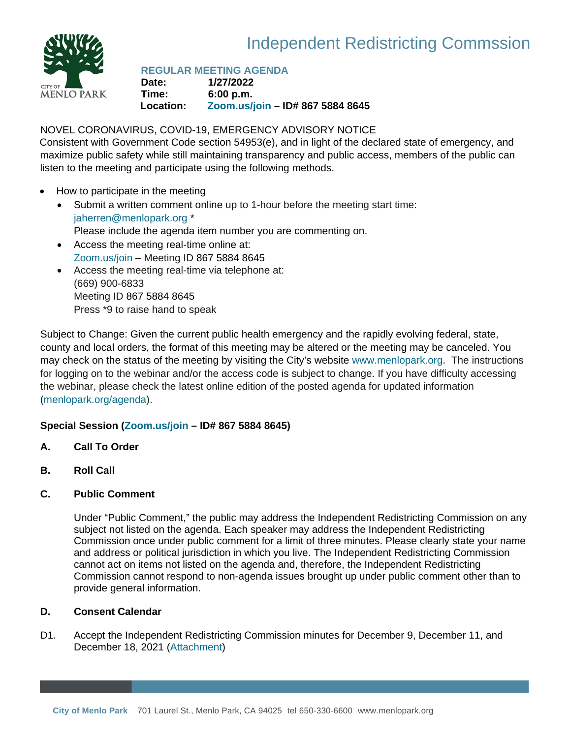

## Independent Redistricting Commssion

## **REGULAR MEETING AGENDA**

**Date: 1/27/2022 Time: 6:00 p.m. Location: Zoom.us/join – ID# 867 5884 8645** 

#### NOVEL CORONAVIRUS, COVID-19, EMERGENCY ADVISORY NOTICE

Consistent with Government Code section 54953(e), and in light of the declared state of emergency, and maximize public safety while still maintaining transparency and public access, members of the public can listen to the meeting and participate using the following methods.

- How to participate in the meeting
	- Submit a written comment online up to 1-hour before the meeting start time: jaherren@menlopark.org \* Please include the agenda item number you are commenting on.
	- Access the meeting real-time online at: Zoom.us/join – Meeting ID 867 5884 8645
	- Access the meeting real-time via telephone at: (669) 900-6833 Meeting ID 867 5884 8645 Press \*9 to raise hand to speak

Subject to Change: Given the current public health emergency and the rapidly evolving federal, state, county and local orders, the format of this meeting may be altered or the meeting may be canceled. You may check on the status of the meeting by visiting the City's website www.menlopark.org.The instructions for logging on to the webinar and/or the access code is subject to change. If you have difficulty accessing the webinar, please check the latest online edition of the posted agenda for updated information (menlopark.org/agenda).

#### **Special Session (Zoom.us/join – ID# 867 5884 8645)**

- **A. Call To Order**
- **B. Roll Call**

#### **C. Public Comment**

Under "Public Comment," the public may address the Independent Redistricting Commission on any subject not listed on the agenda. Each speaker may address the Independent Redistricting Commission once under public comment for a limit of three minutes. Please clearly state your name and address or political jurisdiction in which you live. The Independent Redistricting Commission cannot act on items not listed on the agenda and, therefore, the Independent Redistricting Commission cannot respond to non-agenda issues brought up under public comment other than to provide general information.

#### **D. Consent Calendar**

D1. Accept the Independent Redistricting Commission minutes for December 9, December 11, and December 18, 2021 ([Attachment\)](#page-2-0)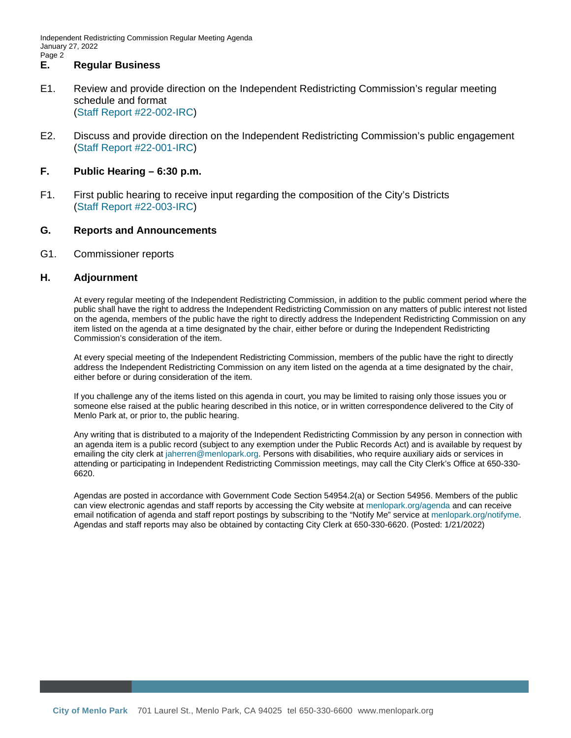Independent Redistricting Commission Regular Meeting Agenda January 27, 2022 Page 2

#### **E. Regular Business**

- E1. Review and provide direction on the Independent Redistricting Commission's regular meeting schedule and format (Staff Report [#22-002-IRC\)](#page-7-0)
- E2. Discuss and provide direction on the Independent Redistricting Commission's public engagement ([Staff Report #22-001-IRC\)](#page-10-0)

#### **F. Public Hearing – 6:30 p.m.**

F1. First public hearing to receive input regarding the composition of the City's Districts ([Staff Report #22-003-IRC\)](#page-16-0)

#### **G. Reports and Announcements**

#### G1. Commissioner reports

#### **H. Adjournment**

At every regular meeting of the Independent Redistricting Commission, in addition to the public comment period where the public shall have the right to address the Independent Redistricting Commission on any matters of public interest not listed on the agenda, members of the public have the right to directly address the Independent Redistricting Commission on any item listed on the agenda at a time designated by the chair, either before or during the Independent Redistricting Commission's consideration of the item.

At every special meeting of the Independent Redistricting Commission, members of the public have the right to directly address the Independent Redistricting Commission on any item listed on the agenda at a time designated by the chair, either before or during consideration of the item.

If you challenge any of the items listed on this agenda in court, you may be limited to raising only those issues you or someone else raised at the public hearing described in this notice, or in written correspondence delivered to the City of Menlo Park at, or prior to, the public hearing.

Any writing that is distributed to a majority of the Independent Redistricting Commission by any person in connection with an agenda item is a public record (subject to any exemption under the Public Records Act) and is available by request by emailing the city clerk at jaherren@menlopark.org. Persons with disabilities, who require auxiliary aids or services in attending or participating in Independent Redistricting Commission meetings, may call the City Clerk's Office at 650-330- 6620.

Agendas are posted in accordance with Government Code Section 54954.2(a) or Section 54956. Members of the public can view electronic agendas and staff reports by accessing the City website at menlopark.org/agenda and can receive email notification of agenda and staff report postings by subscribing to the "Notify Me" service at menlopark.org/notifyme. Agendas and staff reports may also be obtained by contacting City Clerk at 650-330-6620. (Posted: 1/21/2022)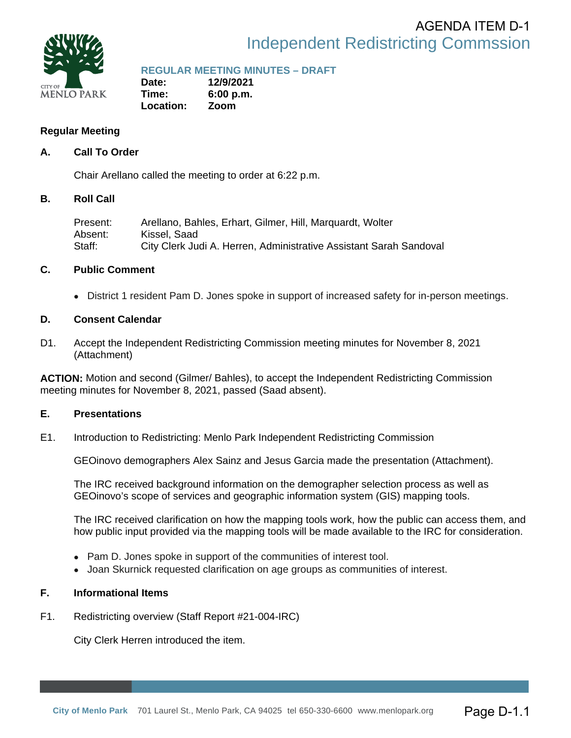### Independent Redistricting Commssion AGENDA ITEM D-1

<span id="page-2-0"></span>

## **REGULAR MEETING MINUTES – DRAFT**

**Date: 12/9/2021 Time: 6:00 p.m. Location: Zoom** 

#### **Regular Meeting**

#### **A. Call To Order**

Chair Arellano called the meeting to order at 6:22 p.m.

#### **B. Roll Call**

Present: Arellano, Bahles, Erhart, Gilmer, Hill, Marquardt, Wolter Absent: Kissel, Saad Staff: City Clerk Judi A. Herren, Administrative Assistant Sarah Sandoval

#### **C. Public Comment**

• District 1 resident Pam D. Jones spoke in support of increased safety for in-person meetings.

#### **D. Consent Calendar**

D1. Accept the Independent Redistricting Commission meeting minutes for November 8, 2021 (Attachment)

**ACTION:** Motion and second (Gilmer/ Bahles), to accept the Independent Redistricting Commission meeting minutes for November 8, 2021, passed (Saad absent).

#### **E. Presentations**

E1. Introduction to Redistricting: Menlo Park Independent Redistricting Commission

GEOinovo demographers Alex Sainz and Jesus Garcia made the presentation (Attachment).

The IRC received background information on the demographer selection process as well as GEOinovo's scope of services and geographic information system (GIS) mapping tools.

The IRC received clarification on how the mapping tools work, how the public can access them, and how public input provided via the mapping tools will be made available to the IRC for consideration.

- Pam D. Jones spoke in support of the communities of interest tool.
- Joan Skurnick requested clarification on age groups as communities of interest.

#### **F. Informational Items**

F1. Redistricting overview (Staff Report #21-004-IRC)

City Clerk Herren introduced the item.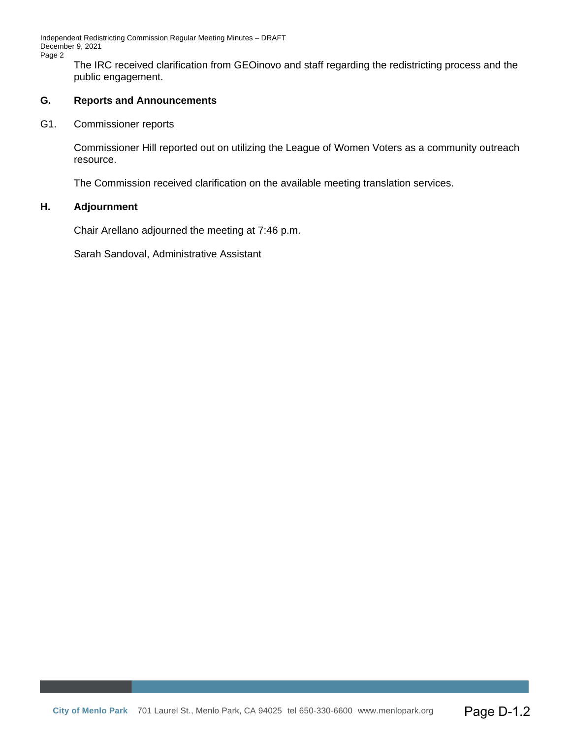Independent Redistricting Commission Regular Meeting Minutes – DRAFT December 9, 2021 Page 2

The IRC received clarification from GEOinovo and staff regarding the redistricting process and the public engagement.

#### **G. Reports and Announcements**

G1. Commissioner reports

Commissioner Hill reported out on utilizing the League of Women Voters as a community outreach resource.

The Commission received clarification on the available meeting translation services.

#### **H. Adjournment**

Chair Arellano adjourned the meeting at 7:46 p.m.

Sarah Sandoval, Administrative Assistant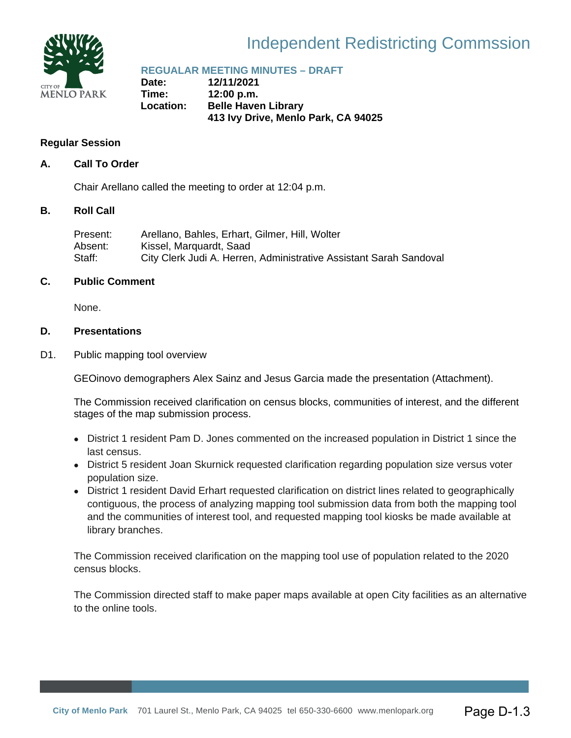

## Independent Redistricting Commssion

## **REGUALAR MEETING MINUTES – DRAFT**

**Date: 12/11/2021 Time: 12:00 p.m. Location: Belle Haven Library 413 Ivy Drive, Menlo Park, CA 94025** 

#### **Regular Session**

#### **A. Call To Order**

Chair Arellano called the meeting to order at 12:04 p.m.

#### **B. Roll Call**

| Present:  | Arellano, Bahles, Erhart, Gilmer, Hill, Wolter                     |
|-----------|--------------------------------------------------------------------|
| Absent: . | Kissel, Marquardt, Saad                                            |
| Staff:    | City Clerk Judi A. Herren, Administrative Assistant Sarah Sandoval |

#### **C. Public Comment**

None.

#### **D. Presentations**

D1. Public mapping tool overview

GEOinovo demographers Alex Sainz and Jesus Garcia made the presentation (Attachment).

The Commission received clarification on census blocks, communities of interest, and the different stages of the map submission process.

- District 1 resident Pam D. Jones commented on the increased population in District 1 since the last census.
- District 5 resident Joan Skurnick requested clarification regarding population size versus voter population size.
- District 1 resident David Erhart requested clarification on district lines related to geographically contiguous, the process of analyzing mapping tool submission data from both the mapping tool and the communities of interest tool, and requested mapping tool kiosks be made available at library branches.

The Commission received clarification on the mapping tool use of population related to the 2020 census blocks.

The Commission directed staff to make paper maps available at open City facilities as an alternative to the online tools.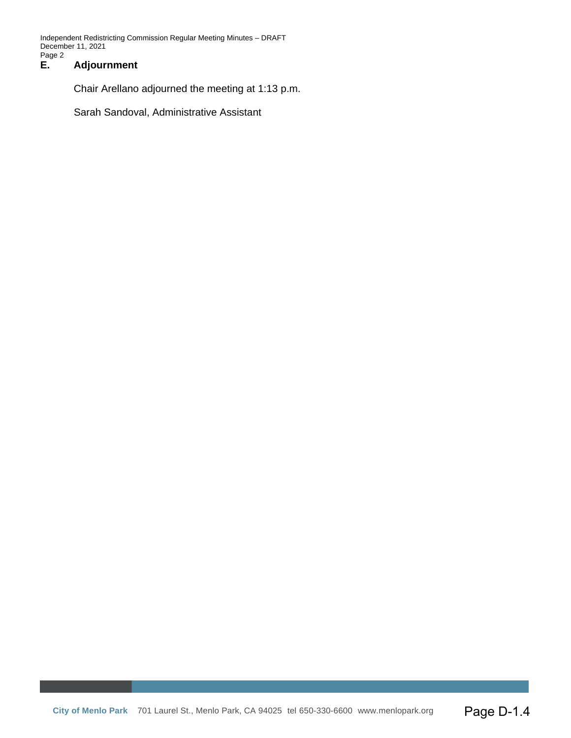Independent Redistricting Commission Regular Meeting Minutes – DRAFT December 11, 2021 Page 2<br>E.

#### **E. Adjournment**

Chair Arellano adjourned the meeting at 1:13 p.m.

Sarah Sandoval, Administrative Assistant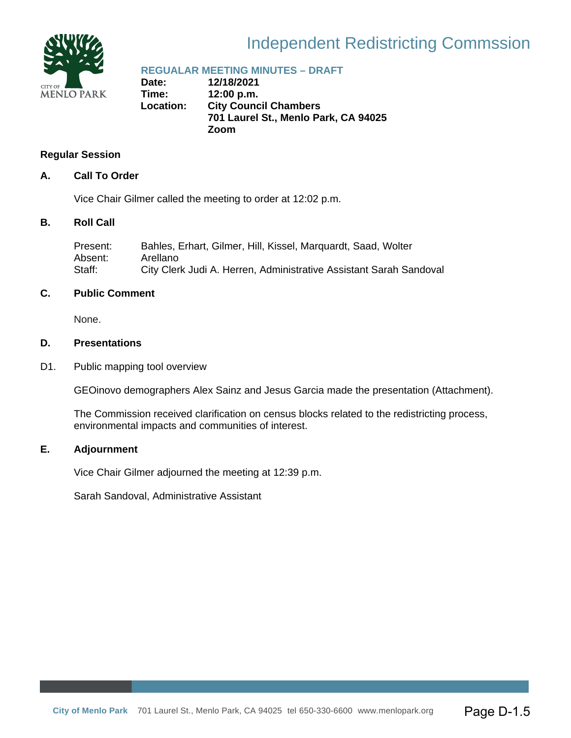

## Independent Redistricting Commssion

## **REGUALAR MEETING MINUTES – DRAFT**

**Date: 12/18/2021 Time: 12:00 p.m. Location: City Council Chambers 701 Laurel St., Menlo Park, CA 94025 Zoom** 

#### **Regular Session**

#### **A. Call To Order**

Vice Chair Gilmer called the meeting to order at 12:02 p.m.

#### **B. Roll Call**

| Present: | Bahles, Erhart, Gilmer, Hill, Kissel, Marquardt, Saad, Wolter      |
|----------|--------------------------------------------------------------------|
| Absent:  | Arellano                                                           |
| Staff:   | City Clerk Judi A. Herren, Administrative Assistant Sarah Sandoval |

#### **C. Public Comment**

None.

#### **D. Presentations**

D1. Public mapping tool overview

GEOinovo demographers Alex Sainz and Jesus Garcia made the presentation (Attachment).

The Commission received clarification on census blocks related to the redistricting process, environmental impacts and communities of interest.

#### **E. Adjournment**

Vice Chair Gilmer adjourned the meeting at 12:39 p.m.

Sarah Sandoval, Administrative Assistant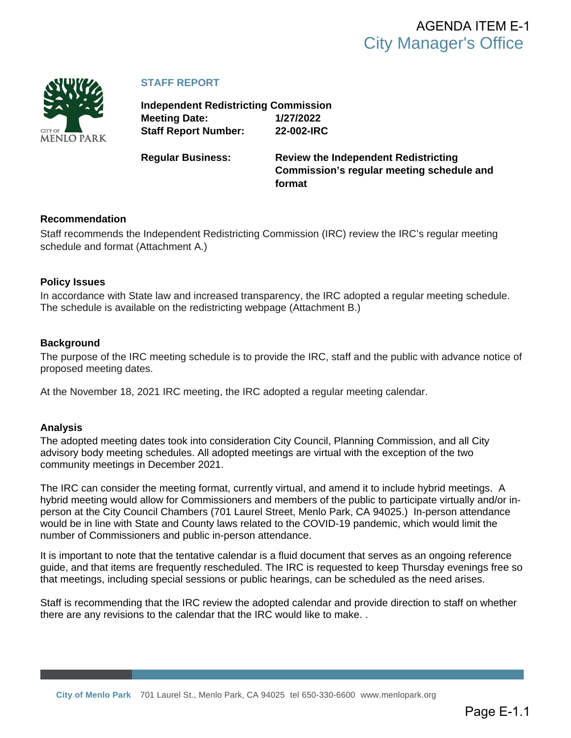<span id="page-7-0"></span>

#### **STAFF REPORT**

**Independent Redistricting Commission Meeting Date: 1/27/2022 Staff Report Number: 22-002-IRC**

**Regular Business: Review the Independent Redistricting Commission's regular meeting schedule and format**

#### **Recommendation**

Staff recommends the Independent Redistricting Commission (IRC) review the IRC's regular meeting schedule and format (Attachment A.)

#### **Policy Issues**

In accordance with State law and increased transparency, the IRC adopted a regular meeting schedule. The schedule is available on the redistricting webpage (Attachment B.)

#### **Background**

The purpose of the IRC meeting schedule is to provide the IRC, staff and the public with advance notice of proposed meeting dates.

At the November 18, 2021 IRC meeting, the IRC adopted a regular meeting calendar.

#### **Analysis**

The adopted meeting dates took into consideration City Council, Planning Commission, and all City advisory body meeting schedules. All adopted meetings are virtual with the exception of the two community meetings in December 2021.

The IRC can consider the meeting format, currently virtual, and amend it to include hybrid meetings. A hybrid meeting would allow for Commissioners and members of the public to participate virtually and/or inperson at the City Council Chambers (701 Laurel Street, Menlo Park, CA 94025.) In-person attendance would be in line with State and County laws related to the COVID-19 pandemic, which would limit the number of Commissioners and public in-person attendance.

It is important to note that the tentative calendar is a fluid document that serves as an ongoing reference guide, and that items are frequently rescheduled. The IRC is requested to keep Thursday evenings free so that meetings, including special sessions or public hearings, can be scheduled as the need arises.

Staff is recommending that the IRC review the adopted calendar and provide direction to staff on whether there are any revisions to the calendar that the IRC would like to make. .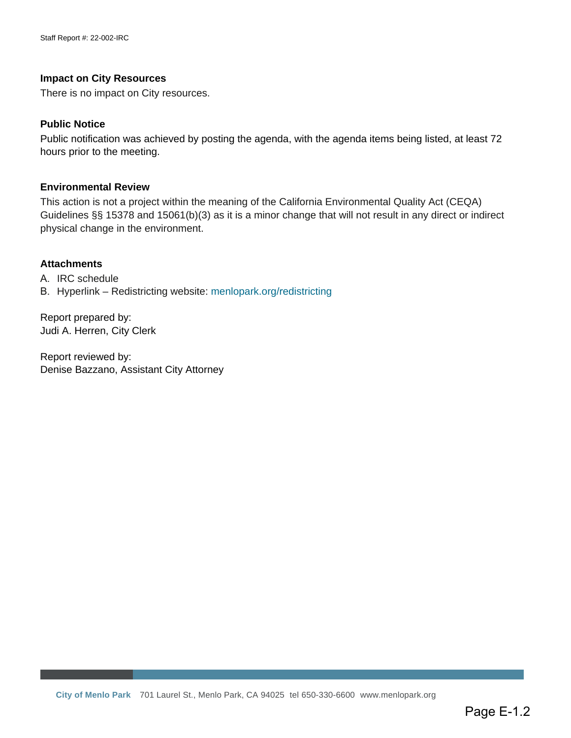#### **Impact on City Resources**

There is no impact on City resources.

#### **Public Notice**

Public notification was achieved by posting the agenda, with the agenda items being listed, at least 72 hours prior to the meeting.

#### **Environmental Review**

This action is not a project within the meaning of the California Environmental Quality Act (CEQA) Guidelines §§ 15378 and 15061(b)(3) as it is a minor change that will not result in any direct or indirect physical change in the environment.

#### **Attachments**

A. [IRC schedule](#page-9-0) B. Hyperlink – Redistricting website: [menlopark.org/](https://www.menlopark.org/1833/City-Council-redistricting)redistricting

Report prepared by: Judi A. Herren, City Clerk

Report reviewed by: Denise Bazzano, Assistant City Attorney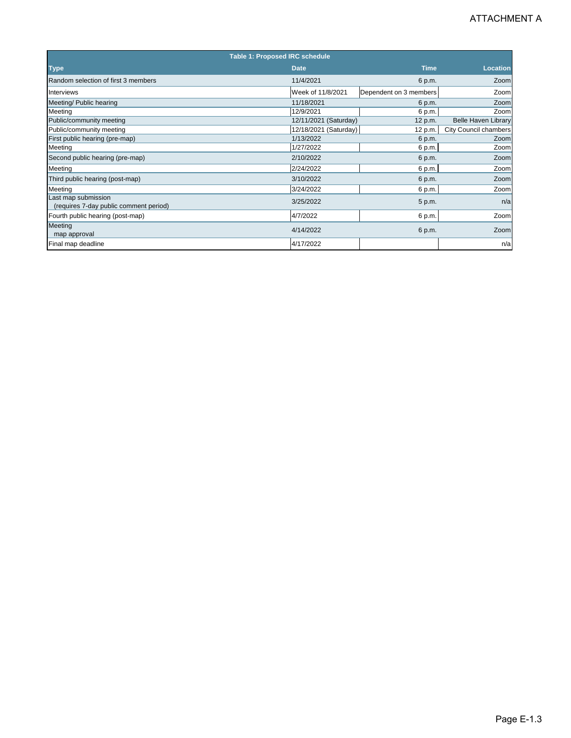<span id="page-9-0"></span>

|                                                            | Table 1: Proposed IRC schedule     |                        |                               |
|------------------------------------------------------------|------------------------------------|------------------------|-------------------------------|
| <b>Type</b>                                                | <b>Date</b>                        | <b>Time</b>            | <b>Location</b>               |
| Random selection of first 3 members                        | 11/4/2021                          | 6 p.m.                 | Zoom                          |
| Interviews                                                 | Week of 11/8/2021                  | Dependent on 3 members | Zoom                          |
| Meeting/ Public hearing                                    | 11/18/2021                         | 6 p.m.                 | Zoom                          |
| Meeting                                                    | 12/9/2021                          | 6 p.m.                 | Zoom                          |
| Public/community meeting                                   | 12/11/2021 (Saturday)              | 12 p.m.                | <b>Belle Haven Library</b>    |
| Public/community meeting<br>First public hearing (pre-map) | 12/18/2021 (Saturday)<br>1/13/2022 | 12 p.m.<br>6 p.m.      | City Council chambers<br>Zoom |
| Meeting                                                    | 1/27/2022                          | 6 p.m.                 | Zoom                          |
| Second public hearing (pre-map)                            | 2/10/2022                          | 6 p.m.                 | Zoom                          |
| Meeting                                                    | 2/24/2022                          | 6 p.m.                 | Zoom                          |
| Third public hearing (post-map)                            | 3/10/2022                          | 6 p.m.                 | Zoom                          |
| Meeting                                                    | 3/24/2022                          | 6 p.m.                 | Zoom                          |
| Last map submission                                        | 3/25/2022                          | 5 p.m.                 | n/a                           |
| (requires 7-day public comment period)                     |                                    |                        |                               |
| Fourth public hearing (post-map)                           | 4/7/2022                           | 6 p.m.                 | Zoom                          |
| <b>Meeting</b><br>map approval                             | 4/14/2022                          | 6 p.m.                 | Zoom                          |
| Final map deadline                                         | 4/17/2022                          |                        | n/a                           |
|                                                            |                                    |                        |                               |
|                                                            |                                    |                        |                               |
|                                                            |                                    |                        | Page E-1.3                    |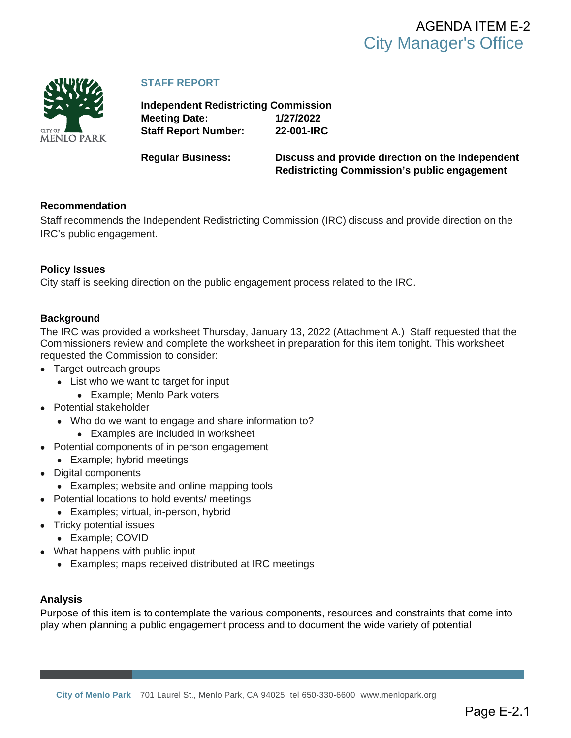<span id="page-10-0"></span>

#### **STAFF REPORT**

**Independent Redistricting Commission Meeting Date: 1/27/2022 Staff Report Number: 22-001-IRC**

**Regular Business: Discuss and provide direction on the Independent Redistricting Commission's public engagement**

#### **Recommendation**

Staff recommends the Independent Redistricting Commission (IRC) discuss and provide direction on the IRC's public engagement.

#### **Policy Issues**

City staff is seeking direction on the public engagement process related to the IRC.

#### **Background**

The IRC was provided a worksheet Thursday, January 13, 2022 (Attachment A.) Staff requested that the Commissioners review and complete the worksheet in preparation for this item tonight. This worksheet requested the Commission to consider:

- Target outreach groups
	- List who we want to target for input
		- Example; Menlo Park voters
- Potential stakeholder
	- Who do we want to engage and share information to?
		- Examples are included in worksheet
- Potential components of in person engagement
	- Example; hybrid meetings
- Digital components
	- Examples; website and online mapping tools
- Potential locations to hold events/ meetings
	- Examples; virtual, in-person, hybrid
- Tricky potential issues
	- Example; COVID
- What happens with public input
	- Examples; maps received distributed at IRC meetings

#### **Analysis**

Purpose of this item is to contemplate the various components, resources and constraints that come into play when planning a public engagement process and to document the wide variety of potential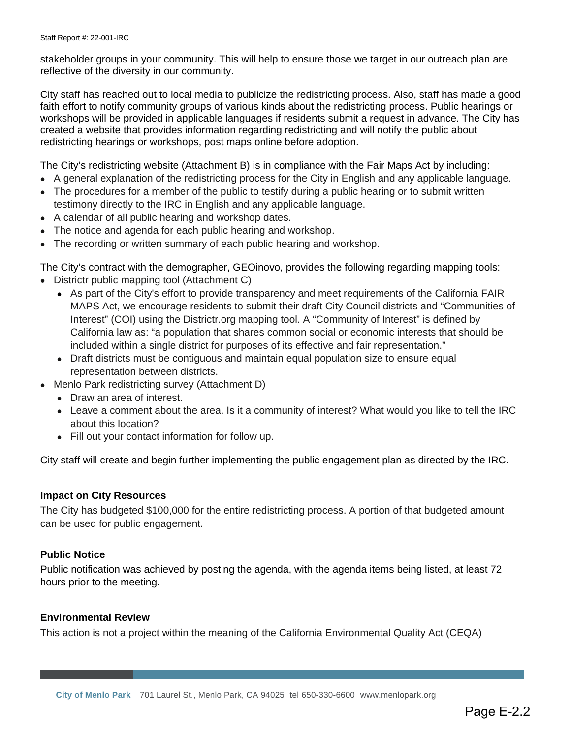stakeholder groups in your community. This will help to ensure those we target in our outreach plan are reflective of the diversity in our community.

City staff has reached out to local media to publicize the redistricting process. Also, staff has made a good faith effort to notify community groups of various kinds about the redistricting process. Public hearings or workshops will be provided in applicable languages if residents submit a request in advance. The City has created a website that provides information regarding redistricting and will notify the public about redistricting hearings or workshops, post maps online before adoption.

The City's redistricting website (Attachment B) is in compliance with the Fair Maps Act by including:

- A general explanation of the redistricting process for the City in English and any applicable language.
- The procedures for a member of the public to testify during a public hearing or to submit written testimony directly to the IRC in English and any applicable language.
- A calendar of all public hearing and workshop dates.
- The notice and agenda for each public hearing and workshop.
- The recording or written summary of each public hearing and workshop.

The City's contract with the demographer, GEOinovo, provides the following regarding mapping tools:

- Districtr public mapping tool (Attachment C)
	- As part of the City's effort to provide transparency and meet requirements of the California FAIR MAPS Act, we encourage residents to submit their draft City Council districts and "Communities of Interest" (COI) using the Districtr.org mapping tool. A "Community of Interest" is defined by California law as: "a population that shares common social or economic interests that should be included within a single district for purposes of its effective and fair representation."
	- Draft districts must be contiguous and maintain equal population size to ensure equal representation between districts.
- Menlo Park redistricting survey (Attachment D)
	- Draw an area of interest.
	- Leave a comment about the area. Is it a community of interest? What would you like to tell the IRC about this location?
	- Fill out your contact information for follow up.

City staff will create and begin further implementing the public engagement plan as directed by the IRC.

#### **Impact on City Resources**

The City has budgeted \$100,000 for the entire redistricting process. A portion of that budgeted amount can be used for public engagement.

#### **Public Notice**

Public notification was achieved by posting the agenda, with the agenda items being listed, at least 72 hours prior to the meeting.

#### **Environmental Review**

This action is not a project within the meaning of the California Environmental Quality Act (CEQA)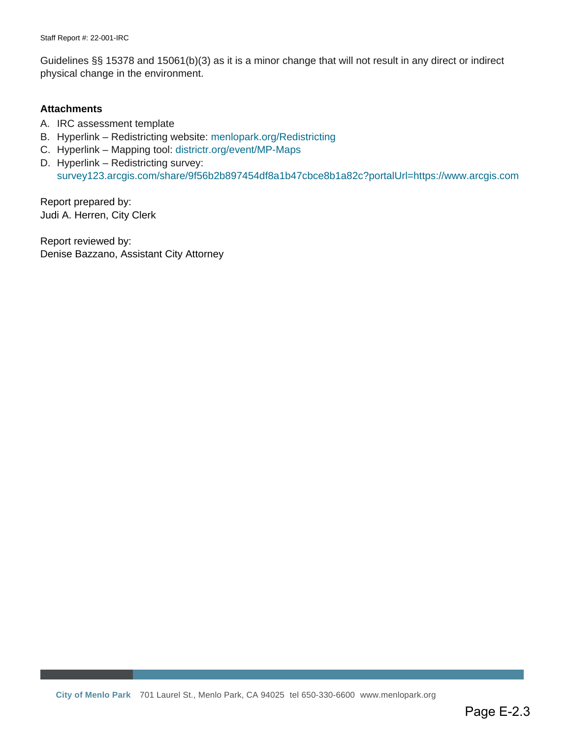Guidelines §§ 15378 and 15061(b)(3) as it is a minor change that will not result in any direct or indirect physical change in the environment.

#### **Attachments**

- A. [IRC assessment template](#page-13-0)
- B. Hyperlink Redistricting website: [menlopark.org/Redistricting](https://beta.menlopark.org/Government/Departments/City-Managers-Office/City-Clerk/Redistricting)
- C. Hyperlink Mapping tool: [districtr.org/event/MP-Maps](https://districtr.org/event/MP-Maps)
- D. Hyperlink Redistricting survey: [survey123.arcgis.com/share/9f56b2b897454df8a1b47cbce8b1a82c?portalUrl=https://www.arcgis.com](https://survey123.arcgis.com/share/9f56b2b897454df8a1b47cbce8b1a82c?portalUrl=https://www.arcgis.com)

Report prepared by: Judi A. Herren, City Clerk

Report reviewed by: Denise Bazzano, Assistant City Attorney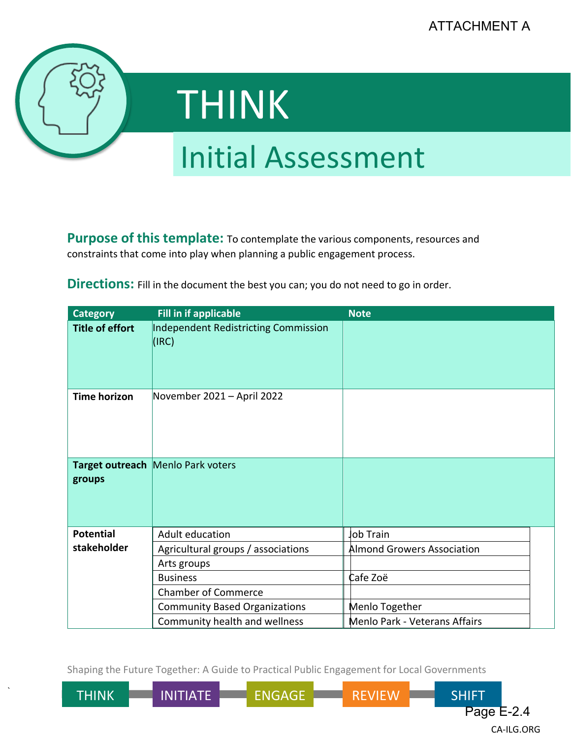<span id="page-13-0"></span>

`

# THINK

## Initial Assessment

|                                                                                                                                                                                                                                                                  |                                                                                                                               | ATTACHMENT A                                |  |  |
|------------------------------------------------------------------------------------------------------------------------------------------------------------------------------------------------------------------------------------------------------------------|-------------------------------------------------------------------------------------------------------------------------------|---------------------------------------------|--|--|
| THINK                                                                                                                                                                                                                                                            |                                                                                                                               |                                             |  |  |
| <b>Initial Assessment</b>                                                                                                                                                                                                                                        |                                                                                                                               |                                             |  |  |
| <b>Purpose of this template:</b> To contemplate the various components, resources and<br>constraints that come into play when planning a public engagement process.<br><b>Directions:</b> Fill in the document the best you can; you do not need to go in order. |                                                                                                                               |                                             |  |  |
| <b>Category</b>                                                                                                                                                                                                                                                  | <b>Fill in if applicable</b>                                                                                                  | <b>Note</b>                                 |  |  |
| <b>Title of effort</b><br><b>Time horizon</b>                                                                                                                                                                                                                    | <b>Independent Redistricting Commission</b><br>(IRC)<br>November 2021 - April 2022                                            |                                             |  |  |
|                                                                                                                                                                                                                                                                  |                                                                                                                               |                                             |  |  |
| groups                                                                                                                                                                                                                                                           | Target outreach Menlo Park voters                                                                                             |                                             |  |  |
| <b>Potential</b>                                                                                                                                                                                                                                                 | Adult education                                                                                                               | <b>lob Train</b>                            |  |  |
| stakeholder                                                                                                                                                                                                                                                      | Agricultural groups / associations                                                                                            | Almond Growers Association                  |  |  |
|                                                                                                                                                                                                                                                                  | Arts groups<br><b>Business</b>                                                                                                | Cafe Zoë                                    |  |  |
|                                                                                                                                                                                                                                                                  | <b>Chamber of Commerce</b>                                                                                                    |                                             |  |  |
|                                                                                                                                                                                                                                                                  | <b>Community Based Organizations</b>                                                                                          | Menlo Together                              |  |  |
|                                                                                                                                                                                                                                                                  | Community health and wellness                                                                                                 | Menlo Park - Veterans Affairs               |  |  |
| <b>THINK</b>                                                                                                                                                                                                                                                     | Shaping the Future Together: A Guide to Practical Public Engagement for Local Governments<br><b>ENGAGE</b><br><b>INITIATE</b> | <b>REVIEW</b><br><b>SHIFT</b><br>Page E-2.4 |  |  |

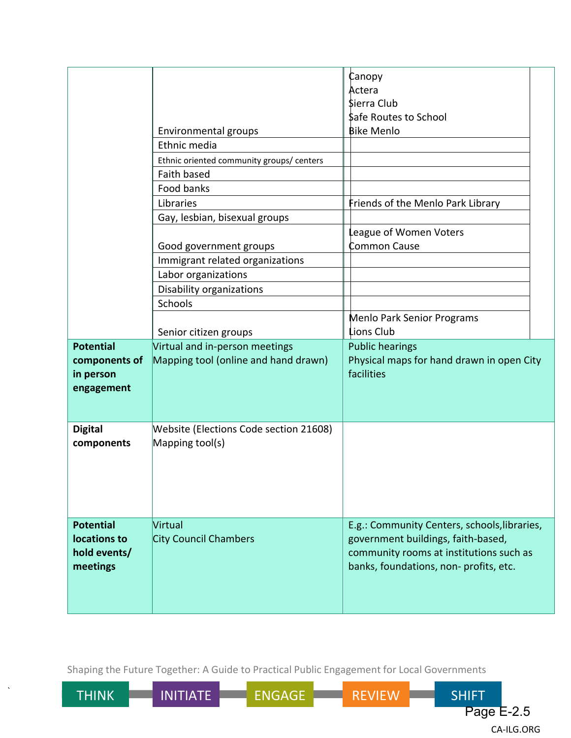| Canopy                                                                                                                                                            |  |
|-------------------------------------------------------------------------------------------------------------------------------------------------------------------|--|
| Actera                                                                                                                                                            |  |
| Sierra Club                                                                                                                                                       |  |
| \$afe Routes to School                                                                                                                                            |  |
| <b>Bike Menlo</b><br>Environmental groups                                                                                                                         |  |
| Ethnic media                                                                                                                                                      |  |
| Ethnic oriented community groups/ centers                                                                                                                         |  |
| Faith based                                                                                                                                                       |  |
| Food banks                                                                                                                                                        |  |
| Libraries<br>Friends of the Menlo Park Library                                                                                                                    |  |
| Gay, lesbian, bisexual groups                                                                                                                                     |  |
| eague of Women Voters                                                                                                                                             |  |
| Common Cause<br>Good government groups                                                                                                                            |  |
| Immigrant related organizations                                                                                                                                   |  |
| Labor organizations                                                                                                                                               |  |
| Disability organizations                                                                                                                                          |  |
| Schools                                                                                                                                                           |  |
| Menlo Park Senior Programs                                                                                                                                        |  |
| Lions Club<br>Senior citizen groups                                                                                                                               |  |
| Virtual and in-person meetings<br><b>Potential</b><br><b>Public hearings</b>                                                                                      |  |
| Mapping tool (online and hand drawn)<br>Physical maps for hand drawn in open City<br>components of                                                                |  |
| facilities<br>in person                                                                                                                                           |  |
| engagement                                                                                                                                                        |  |
|                                                                                                                                                                   |  |
|                                                                                                                                                                   |  |
| <b>Digital</b><br>Website (Elections Code section 21608)                                                                                                          |  |
| Mapping tool(s)<br>components                                                                                                                                     |  |
|                                                                                                                                                                   |  |
|                                                                                                                                                                   |  |
|                                                                                                                                                                   |  |
|                                                                                                                                                                   |  |
|                                                                                                                                                                   |  |
| <b>Potential</b><br>Virtual<br>E.g.: Community Centers, schools, libraries,<br><b>City Council Chambers</b><br>locations to<br>government buildings, faith-based, |  |
| hold events/                                                                                                                                                      |  |
| community rooms at institutions such as<br>banks, foundations, non-profits, etc.<br>meetings                                                                      |  |
|                                                                                                                                                                   |  |
|                                                                                                                                                                   |  |
|                                                                                                                                                                   |  |

Shaping the Future Together: A Guide to Practical Public Engagement for Local Governments

`

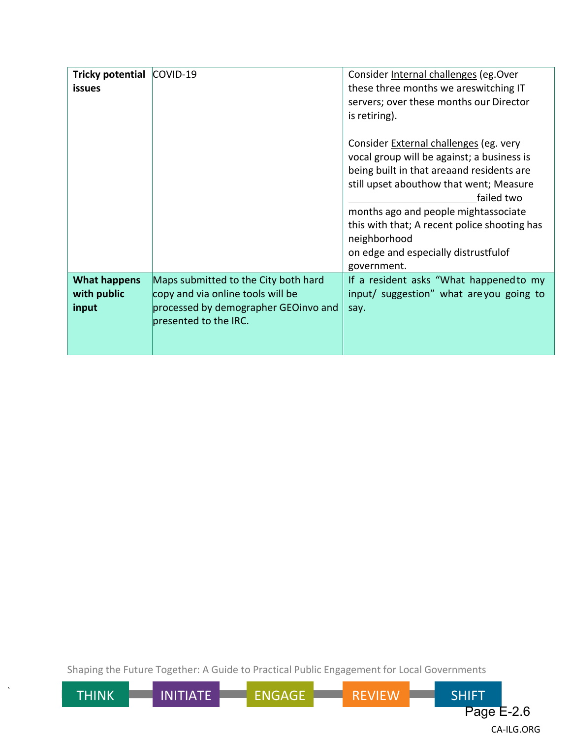| Tricky potential COVID-19<br><b>issues</b>  |                                                                                                                                            | Consider Internal challenges (eg. Over<br>these three months we areswitching IT<br>servers; over these months our Director<br>is retiring).                                                                                                                                                                                                |
|---------------------------------------------|--------------------------------------------------------------------------------------------------------------------------------------------|--------------------------------------------------------------------------------------------------------------------------------------------------------------------------------------------------------------------------------------------------------------------------------------------------------------------------------------------|
|                                             |                                                                                                                                            | Consider External challenges (eg. very<br>vocal group will be against; a business is<br>being built in that areaand residents are<br>still upset abouthow that went; Measure<br>failed two<br>months ago and people mightassociate<br>this with that; A recent police shooting has<br>neighborhood<br>on edge and especially distrustfulof |
| <b>What happens</b><br>with public<br>input | Maps submitted to the City both hard<br>copy and via online tools will be<br>processed by demographer GEOinvo and<br>presented to the IRC. | government.<br>If a resident asks "What happened to my<br>input/ suggestion" what are you going to<br>say.                                                                                                                                                                                                                                 |

Shaping the Future Together: A Guide to Practical Public Engagement for Local Governments

`

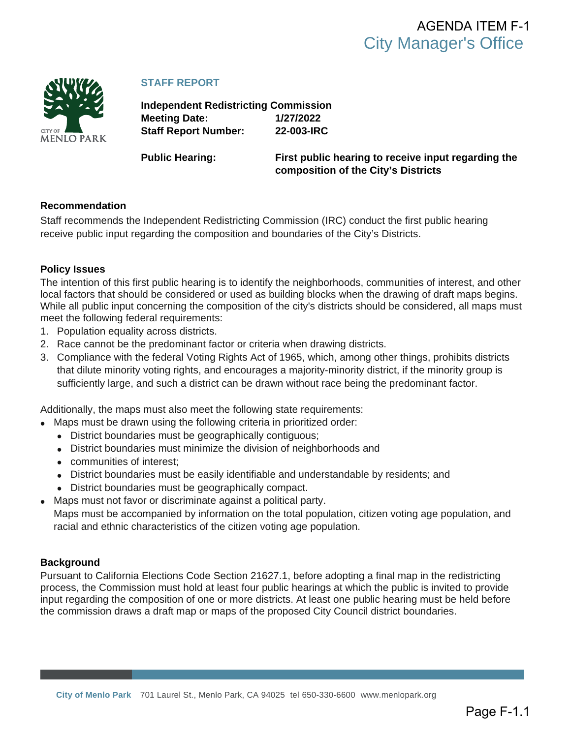<span id="page-16-0"></span>

#### **STAFF REPORT**

**Independent Redistricting Commission Meeting Date: 1/27/2022 Staff Report Number: 22-003-IRC**

**Public Hearing: First public hearing to receive input regarding the composition of the City's Districts**

#### **Recommendation**

Staff recommends the Independent Redistricting Commission (IRC) conduct the first public hearing receive public input regarding the composition and boundaries of the City's Districts.

#### **Policy Issues**

The intention of this first public hearing is to identify the neighborhoods, communities of interest, and other local factors that should be considered or used as building blocks when the drawing of draft maps begins. While all public input concerning the composition of the city's districts should be considered, all maps must meet the following federal requirements:

- 1. Population equality across districts.
- 2. Race cannot be the predominant factor or criteria when drawing districts.
- 3. Compliance with the federal Voting Rights Act of 1965, which, among other things, prohibits districts that dilute minority voting rights, and encourages a majority-minority district, if the minority group is sufficiently large, and such a district can be drawn without race being the predominant factor.

Additionally, the maps must also meet the following state requirements:

- Maps must be drawn using the following criteria in prioritized order:
	- District boundaries must be geographically contiguous;
	- District boundaries must minimize the division of neighborhoods and
	- communities of interest;
	- District boundaries must be easily identifiable and understandable by residents; and
	- District boundaries must be geographically compact.
- Maps must not favor or discriminate against a political party. Maps must be accompanied by information on the total population, citizen voting age population, and racial and ethnic characteristics of the citizen voting age population.

#### **Background**

Pursuant to California Elections Code Section 21627.1, before adopting a final map in the redistricting process, the Commission must hold at least four public hearings at which the public is invited to provide input regarding the composition of one or more districts. At least one public hearing must be held before the commission draws a draft map or maps of the proposed City Council district boundaries.